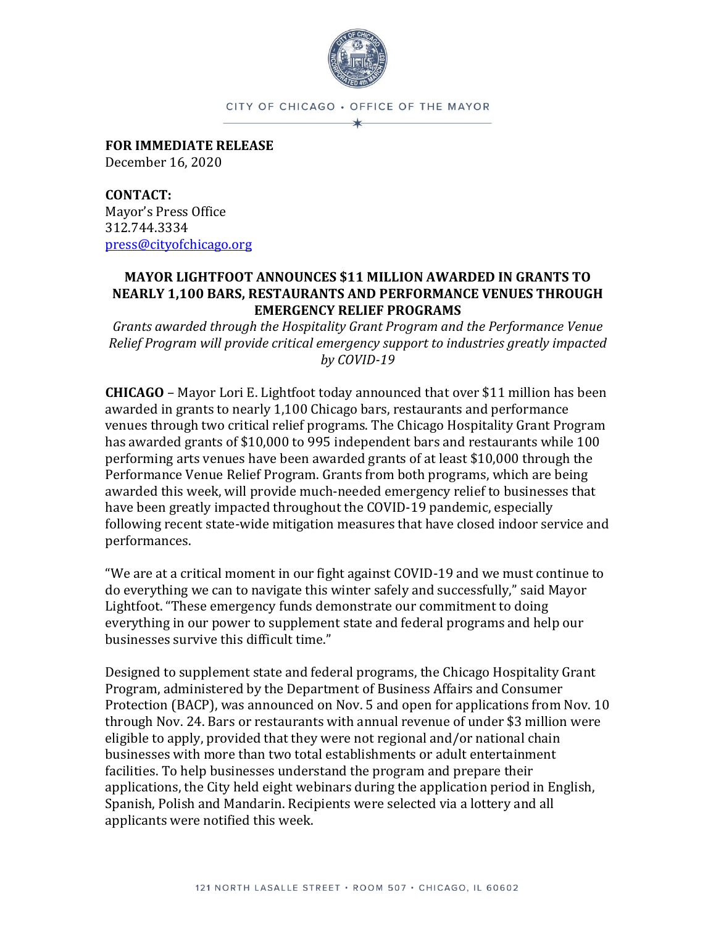

CITY OF CHICAGO · OFFICE OF THE MAYOR ∗

**FOR IMMEDIATE RELEASE** December 16, 2020

**CONTACT:** Mayor's Press Office 312.744.3334 [press@cityofchicago.org](mailto:press@cityofchicago.org)

## **MAYOR LIGHTFOOT ANNOUNCES \$11 MILLION AWARDED IN GRANTS TO NEARLY 1,100 BARS, RESTAURANTS AND PERFORMANCE VENUES THROUGH EMERGENCY RELIEF PROGRAMS**

*Grants awarded through the Hospitality Grant Program and the Performance Venue Relief Program will provide critical emergency support to industries greatly impacted by COVID-19*

**CHICAGO** – Mayor Lori E. Lightfoot today announced that over \$11 million has been awarded in grants to nearly 1,100 Chicago bars, restaurants and performance venues through two critical relief programs. The Chicago Hospitality Grant Program has awarded grants of \$10,000 to 995 independent bars and restaurants while 100 performing arts venues have been awarded grants of at least \$10,000 through the Performance Venue Relief Program. Grants from both programs, which are being awarded this week, will provide much-needed emergency relief to businesses that have been greatly impacted throughout the COVID-19 pandemic, especially following recent state-wide mitigation measures that have closed indoor service and performances.

"We are at a critical moment in our fight against COVID-19 and we must continue to do everything we can to navigate this winter safely and successfully," said Mayor Lightfoot. "These emergency funds demonstrate our commitment to doing everything in our power to supplement state and federal programs and help our businesses survive this difficult time."

Designed to supplement state and federal programs, the Chicago Hospitality Grant Program, administered by the Department of Business Affairs and Consumer Protection (BACP), was announced on Nov. 5 and open for applications from Nov. 10 through Nov. 24. Bars or restaurants with annual revenue of under \$3 million were eligible to apply, provided that they were not regional and/or national chain businesses with more than two total establishments or adult entertainment facilities. To help businesses understand the program and prepare their applications, the City held eight webinars during the application period in English, Spanish, Polish and Mandarin. Recipients were selected via a lottery and all applicants were notified this week.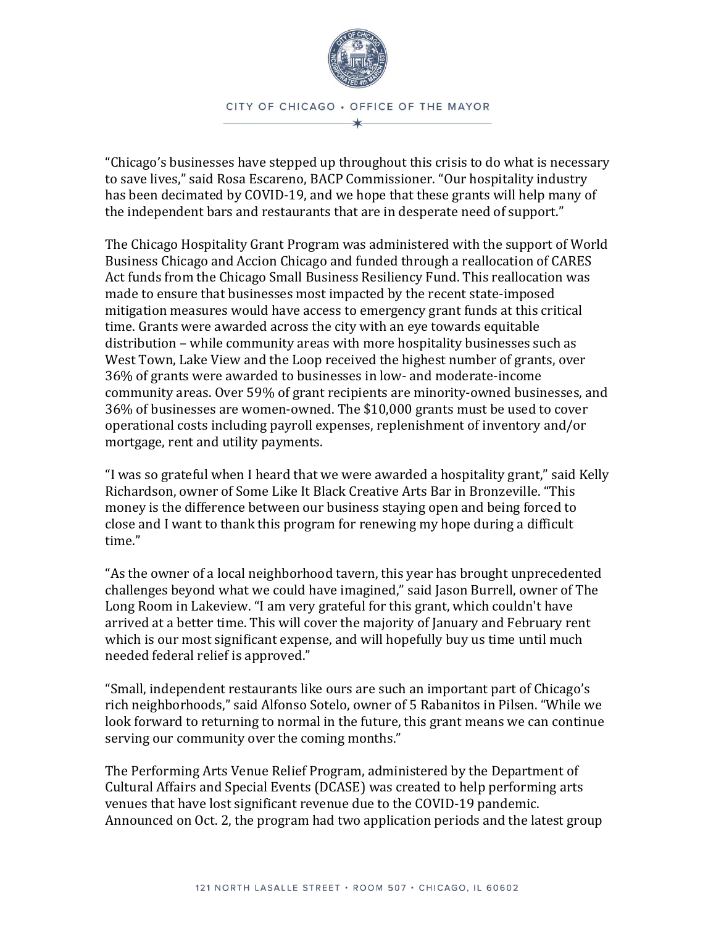

"Chicago's businesses have stepped up throughout this crisis to do what is necessary to save lives," said Rosa Escareno, BACP Commissioner. "Our hospitality industry has been decimated by COVID-19, and we hope that these grants will help many of the independent bars and restaurants that are in desperate need of support."

The Chicago Hospitality Grant Program was administered with the support of World Business Chicago and Accion Chicago and funded through a reallocation of CARES Act funds from the Chicago Small Business Resiliency Fund. This reallocation was made to ensure that businesses most impacted by the recent state-imposed mitigation measures would have access to emergency grant funds at this critical time. Grants were awarded across the city with an eye towards equitable distribution – while community areas with more hospitality businesses such as West Town, Lake View and the Loop received the highest number of grants, over 36% of grants were awarded to businesses in low- and moderate-income community areas. Over 59% of grant recipients are minority-owned businesses, and 36% of businesses are women-owned. The \$10,000 grants must be used to cover operational costs including payroll expenses, replenishment of inventory and/or mortgage, rent and utility payments.

"I was so grateful when I heard that we were awarded a hospitality grant," said Kelly Richardson, owner of Some Like It Black Creative Arts Bar in Bronzeville. "This money is the difference between our business staying open and being forced to close and I want to thank this program for renewing my hope during a difficult time."

"As the owner of a local neighborhood tavern, this year has brought unprecedented challenges beyond what we could have imagined," said Jason Burrell, owner of The Long Room in Lakeview. "I am very grateful for this grant, which couldn't have arrived at a better time. This will cover the majority of January and February rent which is our most significant expense, and will hopefully buy us time until much needed federal relief is approved."

"Small, independent restaurants like ours are such an important part of Chicago's rich neighborhoods," said Alfonso Sotelo, owner of 5 Rabanitos in Pilsen. "While we look forward to returning to normal in the future, this grant means we can continue serving our community over the coming months."

The Performing Arts Venue Relief Program, administered by the Department of Cultural Affairs and Special Events (DCASE) was created to help performing arts venues that have lost significant revenue due to the COVID-19 pandemic. Announced on Oct. 2, the program had two application periods and the latest group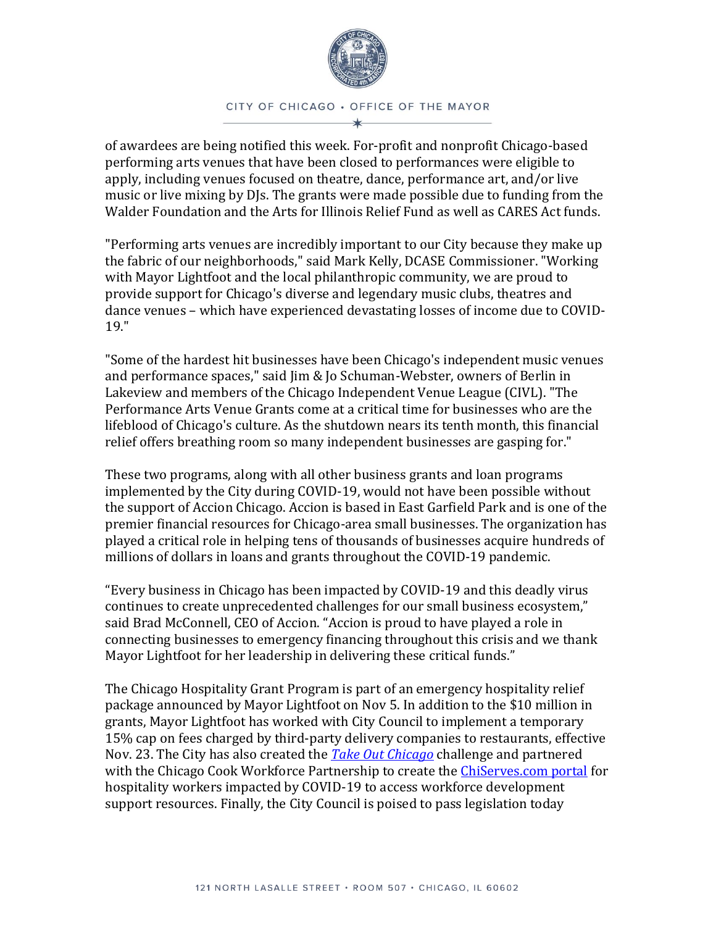

CITY OF CHICAGO . OFFICE OF THE MAYOR

of awardees are being notified this week. For-profit and nonprofit Chicago-based performing arts venues that have been closed to performances were eligible to apply, including venues focused on theatre, dance, performance art, and/or live music or live mixing by DJs. The grants were made possible due to funding from the Walder Foundation and the Arts for Illinois Relief Fund as well as CARES Act funds.

"Performing arts venues are incredibly important to our City because they make up the fabric of our neighborhoods," said Mark Kelly, DCASE Commissioner. "Working with Mayor Lightfoot and the local philanthropic community, we are proud to provide support for Chicago's diverse and legendary music clubs, theatres and dance venues – which have experienced devastating losses of income due to COVID-19."

"Some of the hardest hit businesses have been Chicago's independent music venues and performance spaces," said Jim & Jo Schuman-Webster, owners of Berlin in Lakeview and members of the Chicago Independent Venue League (CIVL). "The Performance Arts Venue Grants come at a critical time for businesses who are the lifeblood of Chicago's culture. As the shutdown nears its tenth month, this financial relief offers breathing room so many independent businesses are gasping for."

These two programs, along with all other business grants and loan programs implemented by the City during COVID-19, would not have been possible without the support of Accion Chicago. Accion is based in East Garfield Park and is one of the premier financial resources for Chicago-area small businesses. The organization has played a critical role in helping tens of thousands of businesses acquire hundreds of millions of dollars in loans and grants throughout the COVID-19 pandemic.

"Every business in Chicago has been impacted by COVID-19 and this deadly virus continues to create unprecedented challenges for our small business ecosystem," said Brad McConnell, CEO of Accion. "Accion is proud to have played a role in connecting businesses to emergency financing throughout this crisis and we thank Mayor Lightfoot for her leadership in delivering these critical funds."

The Chicago Hospitality Grant Program is part of an emergency hospitality relief package announced by Mayor Lightfoot on Nov 5. In addition to the \$10 million in grants, Mayor Lightfoot has worked with City Council to implement a temporary 15% cap on fees charged by third-party delivery companies to restaurants, effective Nov. 23. The City has also created the *[Take Out Chicago](https://www.chicago.gov/city/en/depts/bacp/supp_info/takeoutchicago.html)* challenge and partnered with the Chicago Cook Workforce Partnership to create the [ChiServes.com portal](https://fs21.formsite.com/Workforce_Partnership/f09q34d52x/index.html) for hospitality workers impacted by COVID-19 to access workforce development support resources. Finally, the City Council is poised to pass legislation today